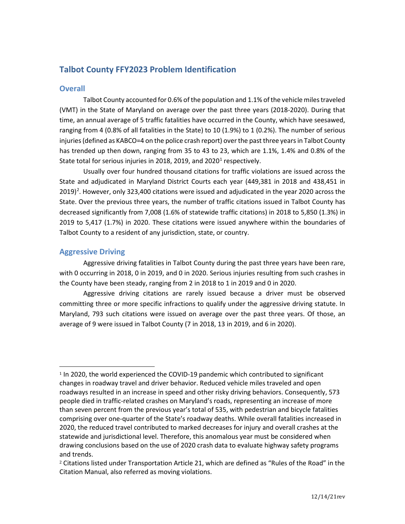# **Talbot County FFY2023 Problem Identification**

### **Overall**

Talbot County accounted for 0.6% of the population and 1.1% of the vehicle miles traveled (VMT) in the State of Maryland on average over the past three years (2018-2020). During that time, an annual average of 5 traffic fatalities have occurred in the County, which have seesawed, ranging from 4 (0.8% of all fatalities in the State) to 10 (1.9%) to 1 (0.2%). The number of serious injuries (defined as KABCO=4 on the police crash report) over the past three years in Talbot County has trended up then down, ranging from 35 to 43 to 23, which are 1.1%, 1.4% and 0.8% of the State total for serious injuries in 20[1](#page-0-0)8, 2019, and 2020<sup>1</sup> respectively.

Usually over four hundred thousand citations for traffic violations are issued across the State and adjudicated in Maryland District Courts each year (449,381 in 2018 and 438,451 in [2](#page-0-1)019)<sup>2</sup>. However, only 323,400 citations were issued and adjudicated in the year 2020 across the State. Over the previous three years, the number of traffic citations issued in Talbot County has decreased significantly from 7,008 (1.6% of statewide traffic citations) in 2018 to 5,850 (1.3%) in 2019 to 5,417 (1.7%) in 2020. These citations were issued anywhere within the boundaries of Talbot County to a resident of any jurisdiction, state, or country.

# **Aggressive Driving**

Aggressive driving fatalities in Talbot County during the past three years have been rare, with 0 occurring in 2018, 0 in 2019, and 0 in 2020. Serious injuries resulting from such crashes in the County have been steady, ranging from 2 in 2018 to 1 in 2019 and 0 in 2020.

Aggressive driving citations are rarely issued because a driver must be observed committing three or more specific infractions to qualify under the aggressive driving statute. In Maryland, 793 such citations were issued on average over the past three years. Of those, an average of 9 were issued in Talbot County (7 in 2018, 13 in 2019, and 6 in 2020).

<span id="page-0-0"></span><sup>&</sup>lt;sup>1</sup> In 2020, the world experienced the COVID-19 pandemic which contributed to significant changes in roadway travel and driver behavior. Reduced vehicle miles traveled and open roadways resulted in an increase in speed and other risky driving behaviors. Consequently, 573 people died in traffic-related crashes on Maryland's roads, representing an increase of more than seven percent from the previous year's total of 535, with pedestrian and bicycle fatalities comprising over one-quarter of the State's roadway deaths. While overall fatalities increased in 2020, the reduced travel contributed to marked decreases for injury and overall crashes at the statewide and jurisdictional level. Therefore, this anomalous year must be considered when drawing conclusions based on the use of 2020 crash data to evaluate highway safety programs and trends.

<span id="page-0-1"></span><sup>2</sup> Citations listed under Transportation Article 21, which are defined as "Rules of the Road" in the Citation Manual, also referred as moving violations.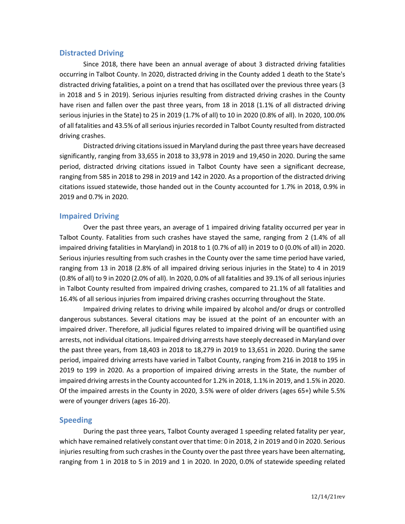### **Distracted Driving**

Since 2018, there have been an annual average of about 3 distracted driving fatalities occurring in Talbot County. In 2020, distracted driving in the County added 1 death to the State's distracted driving fatalities, a point on a trend that has oscillated over the previous three years (3 in 2018 and 5 in 2019). Serious injuries resulting from distracted driving crashes in the County have risen and fallen over the past three years, from 18 in 2018 (1.1% of all distracted driving serious injuries in the State) to 25 in 2019 (1.7% of all) to 10 in 2020 (0.8% of all). In 2020, 100.0% of all fatalities and 43.5% of all serious injuries recorded in Talbot County resulted from distracted driving crashes.

Distracted driving citations issued in Maryland during the past three years have decreased significantly, ranging from 33,655 in 2018 to 33,978 in 2019 and 19,450 in 2020. During the same period, distracted driving citations issued in Talbot County have seen a significant decrease, ranging from 585 in 2018 to 298 in 2019 and 142 in 2020. As a proportion of the distracted driving citations issued statewide, those handed out in the County accounted for 1.7% in 2018, 0.9% in 2019 and 0.7% in 2020.

#### **Impaired Driving**

Over the past three years, an average of 1 impaired driving fatality occurred per year in Talbot County. Fatalities from such crashes have stayed the same, ranging from 2 (1.4% of all impaired driving fatalities in Maryland) in 2018 to 1 (0.7% of all) in 2019 to 0 (0.0% of all) in 2020. Serious injuries resulting from such crashes in the County over the same time period have varied, ranging from 13 in 2018 (2.8% of all impaired driving serious injuries in the State) to 4 in 2019 (0.8% of all) to 9 in 2020 (2.0% of all). In 2020, 0.0% of all fatalities and 39.1% of all serious injuries in Talbot County resulted from impaired driving crashes, compared to 21.1% of all fatalities and 16.4% of all serious injuries from impaired driving crashes occurring throughout the State.

Impaired driving relates to driving while impaired by alcohol and/or drugs or controlled dangerous substances. Several citations may be issued at the point of an encounter with an impaired driver. Therefore, all judicial figures related to impaired driving will be quantified using arrests, not individual citations. Impaired driving arrests have steeply decreased in Maryland over the past three years, from 18,403 in 2018 to 18,279 in 2019 to 13,651 in 2020. During the same period, impaired driving arrests have varied in Talbot County, ranging from 216 in 2018 to 195 in 2019 to 199 in 2020. As a proportion of impaired driving arrests in the State, the number of impaired driving arrests in the County accounted for 1.2% in 2018, 1.1% in 2019, and 1.5% in 2020. Of the impaired arrests in the County in 2020, 3.5% were of older drivers (ages 65+) while 5.5% were of younger drivers (ages 16-20).

#### **Speeding**

During the past three years, Talbot County averaged 1 speeding related fatality per year, which have remained relatively constant over that time: 0 in 2018, 2 in 2019 and 0 in 2020. Serious injuries resulting from such crashes in the County over the past three years have been alternating, ranging from 1 in 2018 to 5 in 2019 and 1 in 2020. In 2020, 0.0% of statewide speeding related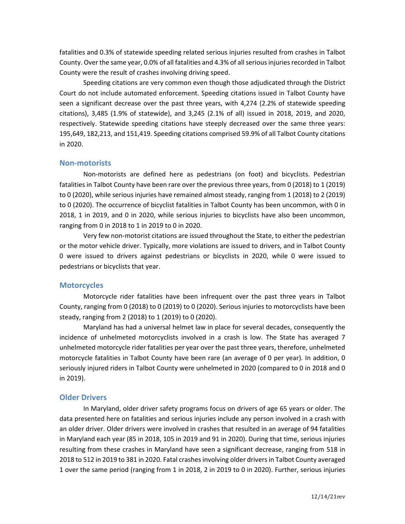fatalities and 0.3% of statewide speeding related serious injuries resulted from crashes in Talbot County. Over the same year, 0.0% of all fatalities and 4.3% of all serious injuries recorded in Talbot County were the result of crashes involving driving speed.

Speeding citations are very common even though those adjudicated through the District Court do not include automated enforcement. Speeding citations issued in Talbot County have seen a significant decrease over the past three years, with 4,274 (2.2% of statewide speeding citations), 3,485 (1.9% of statewide), and 3,245 (2.1% of all) issued in 2018, 2019, and 2020, respectively. Statewide speeding citations have steeply decreased over the same three years: 195,649, 182,213, and 151,419. Speeding citations comprised 59.9% of all Talbot County citations in 2020.

#### **Non-motorists**

Non-motorists are defined here as pedestrians (on foot) and bicyclists. Pedestrian fatalities in Talbot County have been rare over the previous three years, from 0 (2018) to 1 (2019) to 0 (2020), while serious injuries have remained almost steady, ranging from 1 (2018) to 2 (2019) to 0 (2020). The occurrence of bicyclist fatalities in Talbot County has been uncommon, with 0 in 2018, 1 in 2019, and 0 in 2020, while serious injuries to bicyclists have also been uncommon, ranging from 0 in 2018 to 1 in 2019 to 0 in 2020.

Very few non-motorist citations are issued throughout the State, to either the pedestrian or the motor vehicle driver. Typically, more violations are issued to drivers, and in Talbot County 0 were issued to drivers against pedestrians or bicyclists in 2020, while 0 were issued to pedestrians or bicyclists that year.

#### **Motorcycles**

Motorcycle rider fatalities have been infrequent over the past three years in Talbot County, ranging from 0 (2018) to 0 (2019) to 0 (2020). Serious injuries to motorcyclists have been steady, ranging from 2 (2018) to 1 (2019) to 0 (2020).

Maryland has had a universal helmet law in place for several decades, consequently the incidence of unhelmeted motorcyclists involved in a crash is low. The State has averaged 7 unhelmeted motorcycle rider fatalities per year over the past three years, therefore, unhelmeted motorcycle fatalities in Talbot County have been rare (an average of 0 per year). In addition, 0 seriously injured riders in Talbot County were unhelmeted in 2020 (compared to 0 in 2018 and 0 in 2019).

#### **Older Drivers**

In Maryland, older driver safety programs focus on drivers of age 65 years or older. The data presented here on fatalities and serious injuries include any person involved in a crash with an older driver. Older drivers were involved in crashes that resulted in an average of 94 fatalities in Maryland each year (85 in 2018, 105 in 2019 and 91 in 2020). During that time, serious injuries resulting from these crashes in Maryland have seen a significant decrease, ranging from 518 in 2018 to 512 in 2019 to 381 in 2020. Fatal crashes involving older drivers in Talbot County averaged 1 over the same period (ranging from 1 in 2018, 2 in 2019 to 0 in 2020). Further, serious injuries